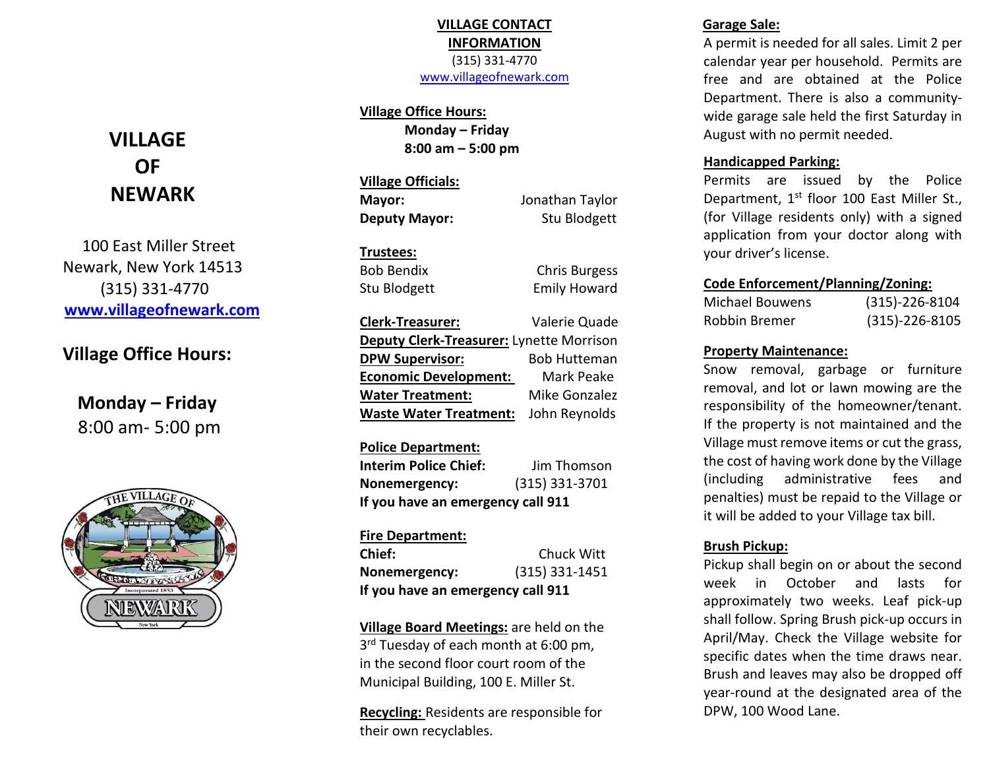# **VILLAGE CONTACT INFORMATION** (315) 331-4770

[www.villageofnewark.com](http://www.villageofnewark.com/)

#### **Village Office Hours:**

**Monday – Friday 8:00 am – 5:00 pm**

**Village Officials: Mayor:** Jonathan Taylor

**Deputy Mayor:** Stu Blodgett

#### **Trustees:**

Bob Bendix Chris Burgess Stu Blodgett Emily Howard

**Clerk-Treasurer:** Valerie Quade **Deputy Clerk-Treasurer:** Lynette Morrison **DPW Supervisor:** Bob Hutteman **Economic Development:** Mark Peake **Water Treatment:** Mike Gonzalez **Waste Water Treatment:** John Reynolds

#### **Police Department:**

**Interim Police Chief:** Jim Thomson **Nonemergency:** (315) 331-3701 **If you have an emergency call 911**

#### **Fire Department:**

| Chief:                            | Chuck Witt       |  |  |
|-----------------------------------|------------------|--|--|
| Nonemergency:                     | $(315)$ 331-1451 |  |  |
| If you have an emergency call 911 |                  |  |  |

**Village Board Meetings:** are held on the 3<sup>rd</sup> Tuesday of each month at 6:00 pm, in the second floor court room of the Municipal Building, 100 E. Miller St.

**Recycling:** Residents are responsible for their own recyclables.

## **Garage Sale:**

A permit is needed for all sales. Limit 2 per calendar year per household. Permits are free and are obtained at the Police Department. There is also a communitywide garage sale held the first Saturday in August with no permit needed.

#### **Handicapped Parking:**

Permits are issued by the Police Department, 1<sup>st</sup> floor 100 East Miller St., (for Village residents only) with a signed application from your doctor along with your driver's license.

#### **Code Enforcement/Planning/Zoning:**

| <b>Michael Bouwens</b> | $(315)-226-8104$ |
|------------------------|------------------|
| Robbin Bremer          | $(315)-226-8105$ |

#### **Property Maintenance:**

Snow removal, garbage or furniture removal, and lot or lawn mowing are the responsibility of the homeowner/tenant. If the property is not maintained and the Village must remove items or cut the grass, the cost of having work done by the Village (including administrative fees and penalties) must be repaid to the Village or it will be added to your Village tax bill.

#### **Brush Pickup:**

Pickup shall begin on or about the second week in October and lasts for approximately two weeks. Leaf pick-up shall follow. Spring Brush pick-up occurs in April/May. Check the Village website for specific dates when the time draws near. Brush and leaves may also be dropped off year-round at the designated area of the DPW, 100 Wood Lane.

# **VILLAGE OF NEWARK**

 100 East Miller Street Newark, New York 14513 (315) 331-4770 **[www.villageofnewark.com](http://www.villageofnewark.com/)**

# **Village Office Hours:**

**Monday – Friday** 8:00 am- 5:00 pm